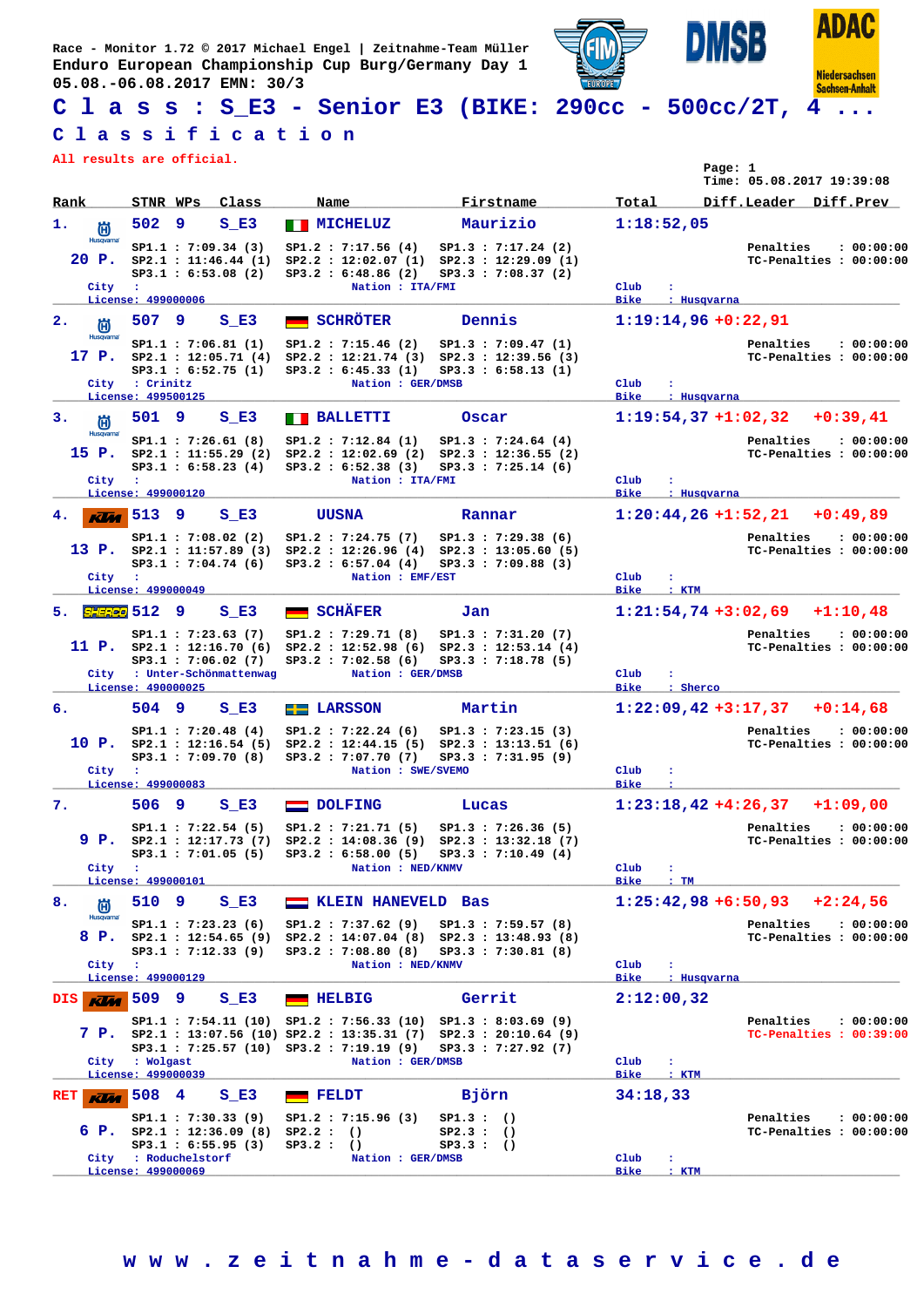**Race - Monitor 1.72 © 2017 Michael Engel | Zeitnahme-Team Müller Enduro European Championship Cup Burg/Germany Day 1 05.08.-06.08.2017 EMN: 30/3**



## **C l a s s : S\_E3 - Senior E3 (BIKE: 290cc - 500cc/2T, 4 ...**

## **C l a s s i f i c a t i o n**

**All results are official.**

|                                   | All results are official.                                                                                        |                                                                                       |                                                                                                                                                               | Page: 1                                                    | Time: 05.08.2017 19:39:08                          |
|-----------------------------------|------------------------------------------------------------------------------------------------------------------|---------------------------------------------------------------------------------------|---------------------------------------------------------------------------------------------------------------------------------------------------------------|------------------------------------------------------------|----------------------------------------------------|
| Rank                              | STNR WPs<br>Class                                                                                                | Name                                                                                  | Firstname                                                                                                                                                     | Total                                                      | Diff.Leader Diff.Prev                              |
| 1.<br>尚                           | 502<br>9<br>S E3                                                                                                 | <b>NICHELUZ</b>                                                                       | Maurizio                                                                                                                                                      | 1:18:52.05                                                 |                                                    |
| <b>Husqvarna</b><br>20 P.         | SP1.1: 7:09.34 (3)<br>SP2.1 : 11:46.44(1)<br>SP3.1 : 6:53.08 (2)                                                 | SP1.2 : 7:17.56(4)<br>SP3.2 : 6:48.86 (2)                                             | SP1.3 : 7:17.24 (2)<br>SP2.2: 12:02.07 (1) SP2.3: 12:29.09 (1)<br>SP3.3 : 7:08.37(2)                                                                          |                                                            | Penalties<br>: 00:00:00<br>TC-Penalties : 00:00:00 |
| City                              | $\cdot$<br>License: 499000006                                                                                    | Nation : ITA/FMI                                                                      |                                                                                                                                                               | Club<br>÷<br><b>Bike</b><br>: Husqvarna                    |                                                    |
| $\mathbf{2}$ .<br>尚               | 507<br>9<br>S E3                                                                                                 | <b>SCHRÖTER</b>                                                                       | Dennis                                                                                                                                                        | $1:19:14,96 +0:22,91$                                      |                                                    |
| Husqvarna<br>17 P.<br>City        | SP1.1 : 7:06.81 (1)<br>SP2.1 : 12:05.71(4)<br>SP3.1 : 6:52.75(1)<br>: Crinitz                                    | SP1.2 : 7:15.46 (2)<br>SP3.2 : 6:45.33 (1)<br>Nation : GER/DMSB                       | SP1.3: 7:09.47 (1)<br>$SP2.2 : 12:21.74 (3) SP2.3 : 12:39.56 (3)$<br>SP3.3 : 6:58.13 (1)                                                                      | Club                                                       | Penalties<br>: 00:00:00<br>TC-Penalties : 00:00:00 |
|                                   | License: 499500125                                                                                               |                                                                                       |                                                                                                                                                               | <b>Bike</b><br>: Husqvarna                                 |                                                    |
| з.<br>尚                           | 501 9<br>$S$ E3                                                                                                  | <b>BALLETTI</b>                                                                       | Oscar                                                                                                                                                         | $1:19:54,37+1:02,32$                                       | $+0:39,41$                                         |
| <b>Husqvarna</b><br>15 P.<br>City | SP1.1 : 7:26.61(8)<br>SP2.1 : 11:55.29(2)<br>SP3.1 : 6:58.23(4)<br>$\sim$ 100                                    | SP1.2 : 7:12.84 (1)<br>SP3.2 : 6:52.38 (3)<br>Nation : ITA/FMI                        | SP1.3 : 7:24.64(4)<br>SP2.2 : 12:02.69 (2) SP2.3 : 12:36.55 (2)<br>SP3.3 : 7:25.14(6)                                                                         | Club<br>÷                                                  | Penalties<br>: 00:00:00<br>TC-Penalties : 00:00:00 |
|                                   | License: 499000120                                                                                               |                                                                                       |                                                                                                                                                               | <b>Bike</b><br>: Husqvarna                                 |                                                    |
| 4.<br><b>KUM</b>                  | 513<br>S E3<br>9                                                                                                 | <b>UUSNA</b>                                                                          | Rannar                                                                                                                                                        |                                                            | $1:20:44,26+1:52,21$ +0:49,89                      |
| 13 P.                             | SP1.1 : 7:08.02(2)<br>$SP3.1$ : 7:04.74 (6)                                                                      | SP1.2 : 7:24.75(7)<br>SP3.2 : 6:57.04 (4)                                             | SP1.3 : 7:29.38(6)<br>SP2.1 : 11:57.89 (3) SP2.2 : 12:26.96 (4) SP2.3 : 13:05.60 (5)<br>SP3.3 : 7:09.88(3)                                                    |                                                            | Penalties<br>: 00:00:00<br>TC-Penalties : 00:00:00 |
| City                              | $\cdot$<br>License: 499000049                                                                                    | Nation : EMF/EST                                                                      |                                                                                                                                                               | Club<br><b>Bike</b><br>$:$ KTM                             |                                                    |
| 5. SHERED 512                     | -9<br>$S$ E3                                                                                                     | <b>SCHÄFER</b>                                                                        | Jan                                                                                                                                                           |                                                            | $1:21:54,74+3:02,69$ +1:10,48                      |
|                                   | SP1.1 : 7:23.63 (7)<br>11 P. $SP2.1 : 12:16.70(6)$<br>SP3.1 : 7:06.02(7)                                         | SP1.2 : 7:29.71(8)<br>SP3.2 : 7:02.58(6)                                              | SP1.3 : 7:31.20(7)<br>SP2.2 : 12:52.98 (6) SP2.3 : 12:53.14 (4)<br>SP3.3 : 7:18.78(5)                                                                         |                                                            | Penalties<br>: 00:00:00<br>TC-Penalties : 00:00:00 |
| City                              | : Unter-Schönmattenwag<br>License: 490000025                                                                     | Nation : GER/DMSB                                                                     |                                                                                                                                                               | Club<br>÷<br><b>Bike</b><br>: Sherco                       |                                                    |
| 6.                                | 504 9<br>$S$ E3                                                                                                  | $E =$ LARSSON                                                                         | Martin                                                                                                                                                        | $1:22:09,42+3:17,37$                                       | $+0:14,68$                                         |
| City                              | SP1.1: 7:20.48 (4)<br>10 P. $SP2.1 : 12:16.54 (5)$<br>SP3.1: 7:09.70 (8)<br>$\mathbf{r}$                         | SP1.2 : 7:22.24(6)<br>SP2.2 : 12:44.15(5)<br>SP3.2 : 7:07.70(7)<br>Nation : SWE/SVEMO | SP1.3 : 7:23.15(3)<br>SP2.3 : 13:13.51(6)<br>SP3.3 : 7:31.95(9)                                                                                               | Club                                                       | Penalties<br>: 00:00:00<br>TC-Penalties : 00:00:00 |
|                                   | License: 499000083                                                                                               |                                                                                       |                                                                                                                                                               | <b>Bike</b>                                                |                                                    |
| 7.                                | 506<br>9<br>S E3                                                                                                 | <b>DOLFING</b><br>$\equiv$                                                            | Lucas                                                                                                                                                         | $1:23:18,42+4:26,37$                                       | $+1:09,00$                                         |
| 9 P.                              | SP1.1 : 7:22.54(5)<br>SP2.1 : 12:17.73(7)                                                                        | SP1.2 : 7:21.71 (5)                                                                   | $SP1.3$ : 7:26.36 (5)<br>SP2.2 : 14:08.36 (9) SP2.3 : 13:32.18 (7)<br>SP3.1: 7:01.05 (5) SP3.2: 6:58.00 (5) SP3.3: 7:10.49 (4)                                |                                                            | Penalties<br>: 00:00:00<br>TC-Penalties : 00:00:00 |
| City :                            | License: 499000101                                                                                               | Nation : NED/KNMV                                                                     |                                                                                                                                                               | Club<br>÷<br><b>Bike</b><br>$:$ TM                         |                                                    |
| 8.<br>尚                           | 510 9<br>$S$ E3                                                                                                  | KLEIN HANEVELD Bas                                                                    |                                                                                                                                                               |                                                            | $1:25:42,98 + 6:50,93 + 2:24,56$                   |
| <b>Husqvarna</b>                  | SP1.1 : 7:23.23 (6)<br>8 P. SP2.1 : 12:54.65 (9) SP2.2 : 14:07.04 (8) SP2.3 : 13:48.93 (8)<br>SP3.1 : 7:12.33(9) | SP1.2 : 7:37.62(9)<br>$SP3.2$ : 7:08.80 (8)                                           | SP1.3 : 7:59.57(8)<br>SP3.3 : 7:30.81 (8)                                                                                                                     |                                                            | Penalties<br>: 00:00:00<br>TC-Penalties : 00:00:00 |
| City :                            | License: 499000129                                                                                               | Nation : NED/KNMV                                                                     |                                                                                                                                                               | Club<br>$\ddot{\phantom{a}}$<br><b>Bike</b><br>: Husqvarna |                                                    |
| DIS  <br><b>Klist</b>             | 509 9<br>$S$ E3                                                                                                  | <b>HELBIG</b>                                                                         | Gerrit                                                                                                                                                        | 2:12:00,32                                                 |                                                    |
|                                   |                                                                                                                  | SP3.1 : 7:25.57 (10) SP3.2 : 7:19.19 (9)                                              | $SP1.1 : 7:54.11 (10) SP1.2 : 7:56.33 (10) SP1.3 : 8:03.69 (9)$<br>7 P. SP2.1 : 13:07.56 (10) SP2.2 : 13:35.31 (7) SP2.3 : 20:10.64 (9)<br>SP3.3 : 7:27.92(7) |                                                            | Penalties<br>: 00:00:00<br>TC-Penalties : 00:39:00 |
| City                              | : Wolgast                                                                                                        | Nation : GER/DMSB                                                                     |                                                                                                                                                               | $_{\rm Club}$<br>÷                                         |                                                    |
|                                   | License: 499000039                                                                                               |                                                                                       |                                                                                                                                                               | Bike<br>$\cdot$ KTM                                        |                                                    |
| RET<br><b>KUM</b>                 | 508 4<br>$S$ E3<br>SP1.1 : 7:30.33 (9)                                                                           | <b>FELDT</b><br>SP1.2 : 7:15.96(3)                                                    | Björn<br>SP1.3:()                                                                                                                                             | 34:18,33                                                   | Penalties<br>: 00:00:00                            |
|                                   | <b>6 P.</b> $SP2.1 : 12:36.09 (8) SP2.2 :$ ()<br>SP3.1 : 6:55.95(3)<br>City : Roduchelstorf                      | SP3.2:()<br>Nation : GER/DMSB                                                         | SP2.3:()<br>SP3.3 : ()                                                                                                                                        | $_{\rm Club}$<br>$\mathbf{r}$                              | TC-Penalties : 00:00:00                            |
|                                   | License: 499000069                                                                                               |                                                                                       |                                                                                                                                                               | Bike<br>$:$ KTM                                            |                                                    |